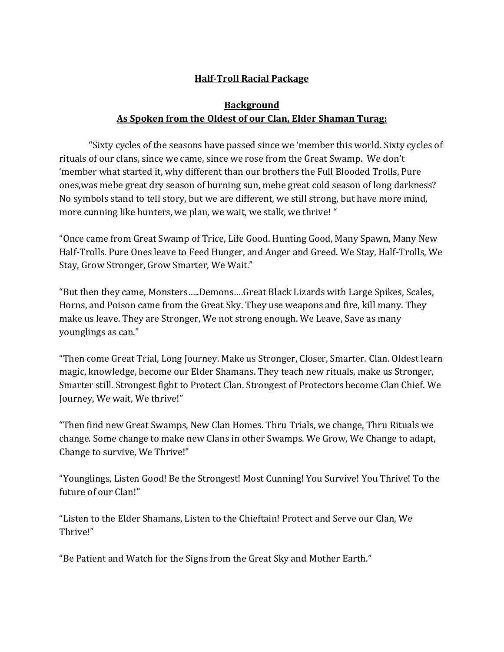## **Half-Troll Racial Package**

## **Background As Spoken from the Oldest of our Clan, Elder Shaman Turag:**

"Sixty cycles of the seasons have passed since we 'member this world. Sixty cycles of rituals of our clans, since we came, since we rose from the Great Swamp. We don't 'member what started it, why different than our brothers the Full Blooded Trolls, Pure ones,was mebe great dry season of burning sun, mebe great cold season of long darkness? No symbols stand to tell story, but we are different, we still strong, but have more mind, more cunning like hunters, we plan, we wait, we stalk, we thrive! "

"Once came from Great Swamp of Trice, Life Good. Hunting Good, Many Spawn, Many New Half-Trolls. Pure Ones leave to Feed Hunger, and Anger and Greed. We Stay, Half-Trolls, We Stay, Grow Stronger, Grow Smarter, We Wait."

"But then they came, Monsters…..Demons….Great Black Lizards with Large Spikes, Scales, Horns, and Poison came from the Great Sky. They use weapons and fire, kill many. They make us leave. They are Stronger, We not strong enough. We Leave, Save as many younglings as can."

"Then come Great Trial, Long Journey. Make us Stronger, Closer, Smarter. Clan. Oldest learn magic, knowledge, become our Elder Shamans. They teach new rituals, make us Stronger, Smarter still. Strongest fight to Protect Clan. Strongest of Protectors become Clan Chief. We Journey, We wait, We thrive!"

"Then find new Great Swamps, New Clan Homes. Thru Trials, we change, Thru Rituals we change. Some change to make new Clans in other Swamps. We Grow, We Change to adapt, Change to survive, We Thrive!"

"Younglings, Listen Good! Be the Strongest! Most Cunning! You Survive! You Thrive! To the future of our Clan!"

"Listen to the Elder Shamans, Listen to the Chieftain! Protect and Serve our Clan, We Thrive!"

"Be Patient and Watch for the Signs from the Great Sky and Mother Earth."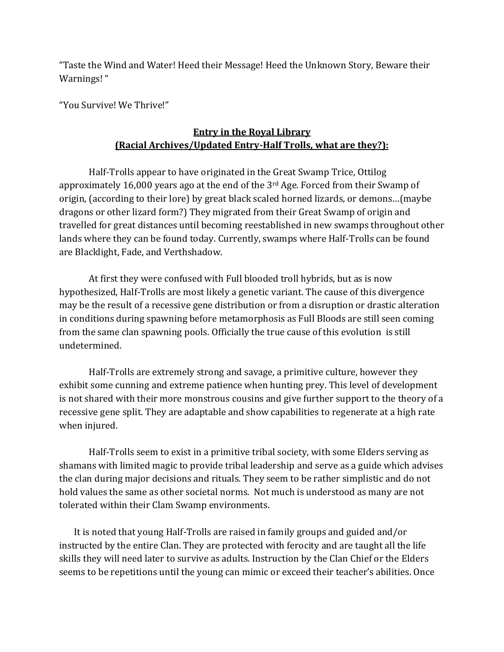"Taste the Wind and Water! Heed their Message! Heed the Unknown Story, Beware their Warnings! "

"You Survive! We Thrive!"

## **Entry in the Royal Library (Racial Archives/Updated Entry-Half Trolls, what are they?):**

Half-Trolls appear to have originated in the Great Swamp Trice, Ottilog approximately 16,000 years ago at the end of the  $3<sup>rd</sup>$  Age. Forced from their Swamp of origin, (according to their lore) by great black scaled horned lizards, or demons…(maybe dragons or other lizard form?) They migrated from their Great Swamp of origin and travelled for great distances until becoming reestablished in new swamps throughout other lands where they can be found today. Currently, swamps where Half-Trolls can be found are Blacklight, Fade, and Verthshadow.

At first they were confused with Full blooded troll hybrids, but as is now hypothesized, Half-Trolls are most likely a genetic variant. The cause of this divergence may be the result of a recessive gene distribution or from a disruption or drastic alteration in conditions during spawning before metamorphosis as Full Bloods are still seen coming from the same clan spawning pools. Officially the true cause of this evolution is still undetermined.

Half-Trolls are extremely strong and savage, a primitive culture, however they exhibit some cunning and extreme patience when hunting prey. This level of development is not shared with their more monstrous cousins and give further support to the theory of a recessive gene split. They are adaptable and show capabilities to regenerate at a high rate when injured.

Half-Trolls seem to exist in a primitive tribal society, with some Elders serving as shamans with limited magic to provide tribal leadership and serve as a guide which advises the clan during major decisions and rituals. They seem to be rather simplistic and do not hold values the same as other societal norms. Not much is understood as many are not tolerated within their Clam Swamp environments.

It is noted that young Half-Trolls are raised in family groups and guided and/or instructed by the entire Clan. They are protected with ferocity and are taught all the life skills they will need later to survive as adults. Instruction by the Clan Chief or the Elders seems to be repetitions until the young can mimic or exceed their teacher's abilities. Once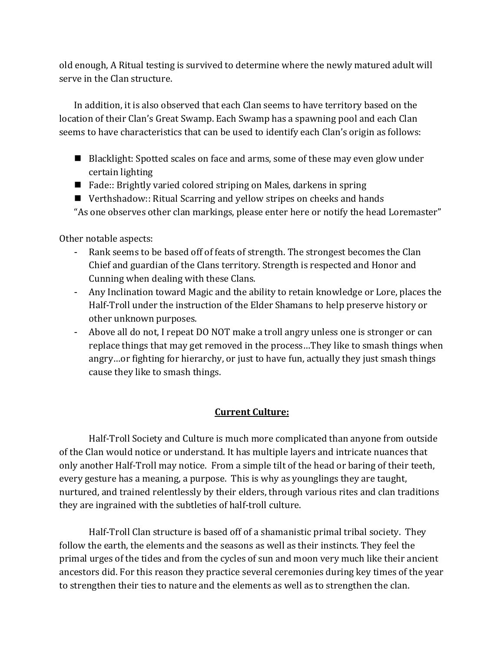old enough, A Ritual testing is survived to determine where the newly matured adult will serve in the Clan structure.

In addition, it is also observed that each Clan seems to have territory based on the location of their Clan's Great Swamp. Each Swamp has a spawning pool and each Clan seems to have characteristics that can be used to identify each Clan's origin as follows:

- Blacklight: Spotted scales on face and arms, some of these may even glow under certain lighting
- Fade:: Brightly varied colored striping on Males, darkens in spring
- Verthshadow:: Ritual Scarring and yellow stripes on cheeks and hands "As one observes other clan markings, please enter here or notify the head Loremaster"

Other notable aspects:

- Rank seems to be based off of feats of strength. The strongest becomes the Clan Chief and guardian of the Clans territory. Strength is respected and Honor and Cunning when dealing with these Clans.
- Any Inclination toward Magic and the ability to retain knowledge or Lore, places the Half-Troll under the instruction of the Elder Shamans to help preserve history or other unknown purposes.
- Above all do not, I repeat DO NOT make a troll angry unless one is stronger or can replace things that may get removed in the process…They like to smash things when angry…or fighting for hierarchy, or just to have fun, actually they just smash things cause they like to smash things.

### **Current Culture:**

Half-Troll Society and Culture is much more complicated than anyone from outside of the Clan would notice or understand. It has multiple layers and intricate nuances that only another Half-Troll may notice. From a simple tilt of the head or baring of their teeth, every gesture has a meaning, a purpose. This is why as younglings they are taught, nurtured, and trained relentlessly by their elders, through various rites and clan traditions they are ingrained with the subtleties of half-troll culture.

Half-Troll Clan structure is based off of a shamanistic primal tribal society. They follow the earth, the elements and the seasons as well as their instincts. They feel the primal urges of the tides and from the cycles of sun and moon very much like their ancient ancestors did. For this reason they practice several ceremonies during key times of the year to strengthen their ties to nature and the elements as well as to strengthen the clan.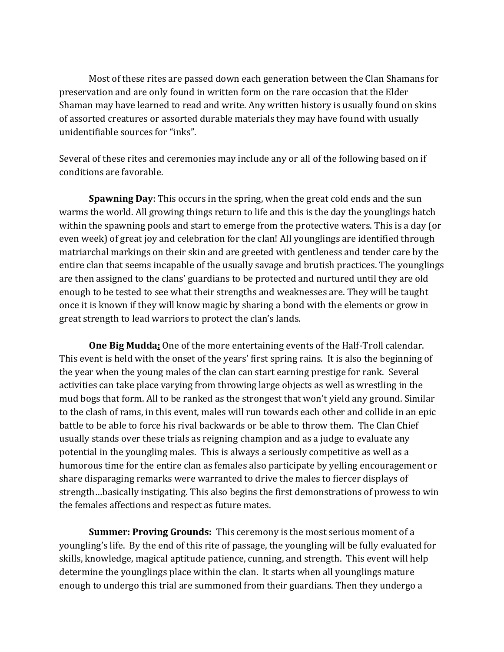Most of these rites are passed down each generation between the Clan Shamans for preservation and are only found in written form on the rare occasion that the Elder Shaman may have learned to read and write. Any written history is usually found on skins of assorted creatures or assorted durable materials they may have found with usually unidentifiable sources for "inks".

Several of these rites and ceremonies may include any or all of the following based on if conditions are favorable.

**Spawning Day**: This occurs in the spring, when the great cold ends and the sun warms the world. All growing things return to life and this is the day the younglings hatch within the spawning pools and start to emerge from the protective waters. This is a day (or even week) of great joy and celebration for the clan! All younglings are identified through matriarchal markings on their skin and are greeted with gentleness and tender care by the entire clan that seems incapable of the usually savage and brutish practices. The younglings are then assigned to the clans' guardians to be protected and nurtured until they are old enough to be tested to see what their strengths and weaknesses are. They will be taught once it is known if they will know magic by sharing a bond with the elements or grow in great strength to lead warriors to protect the clan's lands.

**One Big Mudda:** One of the more entertaining events of the Half-Troll calendar. This event is held with the onset of the years' first spring rains. It is also the beginning of the year when the young males of the clan can start earning prestige for rank. Several activities can take place varying from throwing large objects as well as wrestling in the mud bogs that form. All to be ranked as the strongest that won't yield any ground. Similar to the clash of rams, in this event, males will run towards each other and collide in an epic battle to be able to force his rival backwards or be able to throw them. The Clan Chief usually stands over these trials as reigning champion and as a judge to evaluate any potential in the youngling males. This is always a seriously competitive as well as a humorous time for the entire clan as females also participate by yelling encouragement or share disparaging remarks were warranted to drive the males to fiercer displays of strength…basically instigating. This also begins the first demonstrations of prowess to win the females affections and respect as future mates.

**Summer: Proving Grounds:** This ceremony is the most serious moment of a youngling's life. By the end of this rite of passage, the youngling will be fully evaluated for skills, knowledge, magical aptitude patience, cunning, and strength. This event will help determine the younglings place within the clan. It starts when all younglings mature enough to undergo this trial are summoned from their guardians. Then they undergo a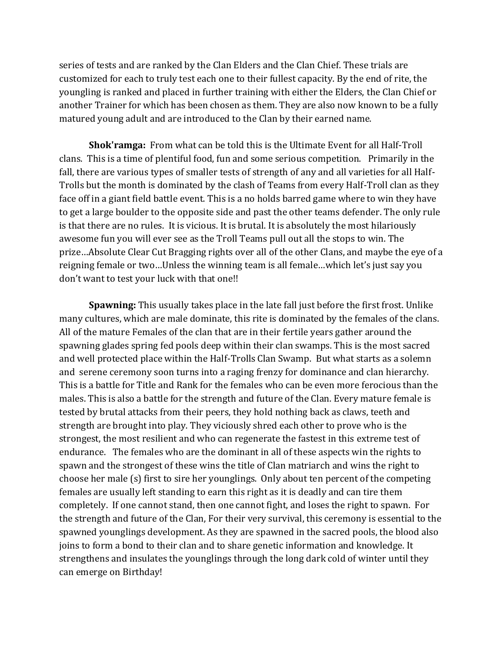series of tests and are ranked by the Clan Elders and the Clan Chief. These trials are customized for each to truly test each one to their fullest capacity. By the end of rite, the youngling is ranked and placed in further training with either the Elders, the Clan Chief or another Trainer for which has been chosen as them. They are also now known to be a fully matured young adult and are introduced to the Clan by their earned name.

**Shok'ramga:** From what can be told this is the Ultimate Event for all Half-Troll clans. This is a time of plentiful food, fun and some serious competition. Primarily in the fall, there are various types of smaller tests of strength of any and all varieties for all Half-Trolls but the month is dominated by the clash of Teams from every Half-Troll clan as they face off in a giant field battle event. This is a no holds barred game where to win they have to get a large boulder to the opposite side and past the other teams defender. The only rule is that there are no rules. It is vicious. It is brutal. It is absolutely the most hilariously awesome fun you will ever see as the Troll Teams pull out all the stops to win. The prize…Absolute Clear Cut Bragging rights over all of the other Clans, and maybe the eye of a reigning female or two…Unless the winning team is all female…which let's just say you don't want to test your luck with that one!!

**Spawning:** This usually takes place in the late fall just before the first frost. Unlike many cultures, which are male dominate, this rite is dominated by the females of the clans. All of the mature Females of the clan that are in their fertile years gather around the spawning glades spring fed pools deep within their clan swamps. This is the most sacred and well protected place within the Half-Trolls Clan Swamp. But what starts as a solemn and serene ceremony soon turns into a raging frenzy for dominance and clan hierarchy. This is a battle for Title and Rank for the females who can be even more ferocious than the males. This is also a battle for the strength and future of the Clan. Every mature female is tested by brutal attacks from their peers, they hold nothing back as claws, teeth and strength are brought into play. They viciously shred each other to prove who is the strongest, the most resilient and who can regenerate the fastest in this extreme test of endurance. The females who are the dominant in all of these aspects win the rights to spawn and the strongest of these wins the title of Clan matriarch and wins the right to choose her male (s) first to sire her younglings. Only about ten percent of the competing females are usually left standing to earn this right as it is deadly and can tire them completely. If one cannot stand, then one cannot fight, and loses the right to spawn. For the strength and future of the Clan, For their very survival, this ceremony is essential to the spawned younglings development. As they are spawned in the sacred pools, the blood also joins to form a bond to their clan and to share genetic information and knowledge. It strengthens and insulates the younglings through the long dark cold of winter until they can emerge on Birthday!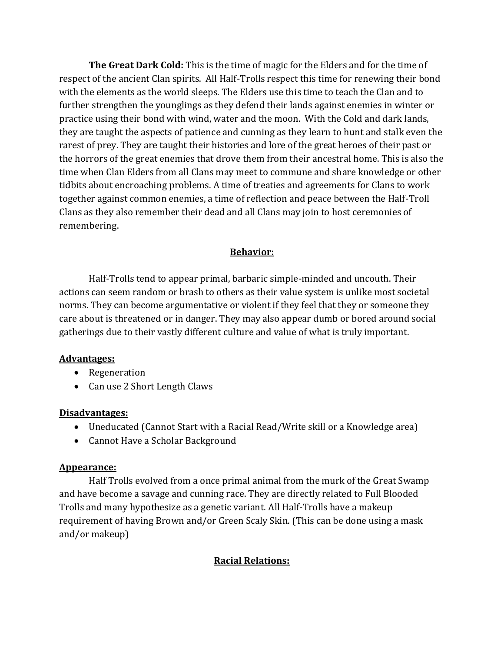**The Great Dark Cold:** This is the time of magic for the Elders and for the time of respect of the ancient Clan spirits. All Half-Trolls respect this time for renewing their bond with the elements as the world sleeps. The Elders use this time to teach the Clan and to further strengthen the younglings as they defend their lands against enemies in winter or practice using their bond with wind, water and the moon. With the Cold and dark lands, they are taught the aspects of patience and cunning as they learn to hunt and stalk even the rarest of prey. They are taught their histories and lore of the great heroes of their past or the horrors of the great enemies that drove them from their ancestral home. This is also the time when Clan Elders from all Clans may meet to commune and share knowledge or other tidbits about encroaching problems. A time of treaties and agreements for Clans to work together against common enemies, a time of reflection and peace between the Half-Troll Clans as they also remember their dead and all Clans may join to host ceremonies of remembering.

### **Behavior:**

Half-Trolls tend to appear primal, barbaric simple-minded and uncouth. Their actions can seem random or brash to others as their value system is unlike most societal norms. They can become argumentative or violent if they feel that they or someone they care about is threatened or in danger. They may also appear dumb or bored around social gatherings due to their vastly different culture and value of what is truly important.

#### **Advantages:**

- Regeneration
- Can use 2 Short Length Claws

### **Disadvantages:**

- Uneducated (Cannot Start with a Racial Read/Write skill or a Knowledge area)
- Cannot Have a Scholar Background

### **Appearance:**

Half Trolls evolved from a once primal animal from the murk of the Great Swamp and have become a savage and cunning race. They are directly related to Full Blooded Trolls and many hypothesize as a genetic variant. All Half-Trolls have a makeup requirement of having Brown and/or Green Scaly Skin. (This can be done using a mask and/or makeup)

# **Racial Relations:**